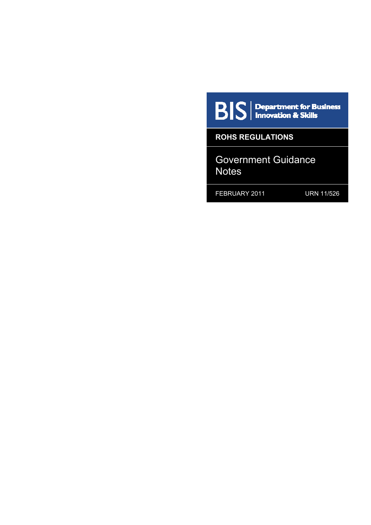$\mathbf{B}|\mathbf{S}|$  Department for Business

**ROHS REGULATIONS** 

Government Guidance **Notes** 

FEBRUARY 2011 URN 11/526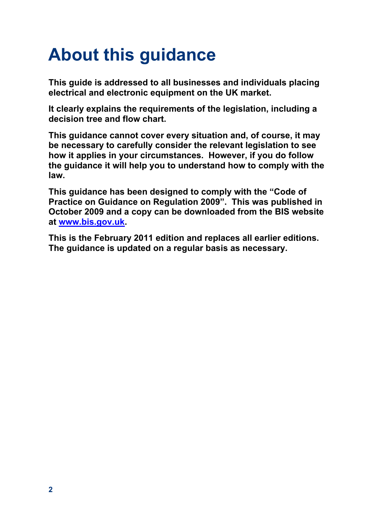# <span id="page-1-0"></span>**About this guidance**

**This guide is addressed to all businesses and individuals placing electrical and electronic equipment on the UK market.** 

**It clearly explains the requirements of the legislation, including a decision tree and flow chart.** 

**This guidance cannot cover every situation and, of course, it may be necessary to carefully consider the relevant legislation to see how it applies in your circumstances. However, if you do follow the guidance it will help you to understand how to comply with the law.** 

**This guidance has been designed to comply with the "Code of Practice on Guidance on Regulation 2009". This was published in October 2009 and a copy can be downloaded from the BIS website at [www.bis.gov.uk](http://www.bis.gov.uk/).** 

**This is the February 2011 edition and replaces all earlier editions. The guidance is updated on a regular basis as necessary.**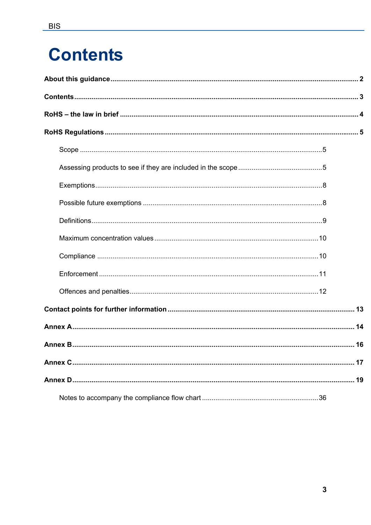# <span id="page-2-0"></span>**Contents**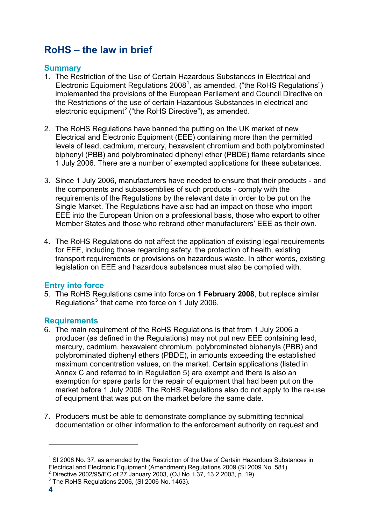# <span id="page-3-0"></span>**RoHS – the law in brief**

# **Summary**

- 1. The Restriction of the Use of Certain Hazardous Substances in Electrical and Electronic Equipment Regulations 2008<sup>[1](#page-3-1)</sup>, as amended, ("the RoHS Regulations") implemented the provisions of the European Parliament and Council Directive on the Restrictions of the use of certain Hazardous Substances in electrical and electronic equipment<sup>[2](#page-3-2)</sup> ("the RoHS Directive"), as amended.
- 2. The RoHS Regulations have banned the putting on the UK market of new Electrical and Electronic Equipment (EEE) containing more than the permitted levels of lead, cadmium, mercury, hexavalent chromium and both polybrominated biphenyl (PBB) and polybrominated diphenyl ether (PBDE) flame retardants since 1 July 2006. There are a number of exempted applications for these substances.
- 3. Since 1 July 2006, manufacturers have needed to ensure that their products and the components and subassemblies of such products - comply with the requirements of the Regulations by the relevant date in order to be put on the Single Market. The Regulations have also had an impact on those who import EEE into the European Union on a professional basis, those who export to other Member States and those who rebrand other manufacturers' EEE as their own.
- 4. The RoHS Regulations do not affect the application of existing legal requirements for EEE, including those regarding safety, the protection of health, existing transport requirements or provisions on hazardous waste. In other words, existing legislation on EEE and hazardous substances must also be complied with.

# **Entry into force**

5. The RoHS Regulations came into force on **1 February 2008**, but replace similar Regulations $3$  that came into force on 1 July 2006.

# **Requirements**

- 6. The main requirement of the RoHS Regulations is that from 1 July 2006 a producer (as defined in the Regulations) may not put new EEE containing lead, mercury, cadmium, hexavalent chromium, polybrominated biphenyls (PBB) and polybrominated diphenyl ethers (PBDE), in amounts exceeding the established maximum concentration values, on the market. Certain applications (listed in Annex C and referred to in Regulation 5) are exempt and there is also an exemption for spare parts for the repair of equipment that had been put on the market before 1 July 2006. The RoHS Regulations also do not apply to the re-use of equipment that was put on the market before the same date.
- 7. Producers must be able to demonstrate compliance by submitting technical documentation or other information to the enforcement authority on request and

<span id="page-3-1"></span> $1$  SI 2008 No. 37, as amended by the Restriction of the Use of Certain Hazardous Substances in Electrical and Electronic Equipment (Amendment) Regulations 2009 (SI 2009 No. 581). 2

<span id="page-3-2"></span> $2^2$  Directive 2002/95/EC of 27 January 2003, (OJ No. L37, 13.2.2003, p. 19).

<span id="page-3-3"></span><sup>&</sup>lt;sup>3</sup> The RoHS Regulations 2006, (SI 2006 No. 1463).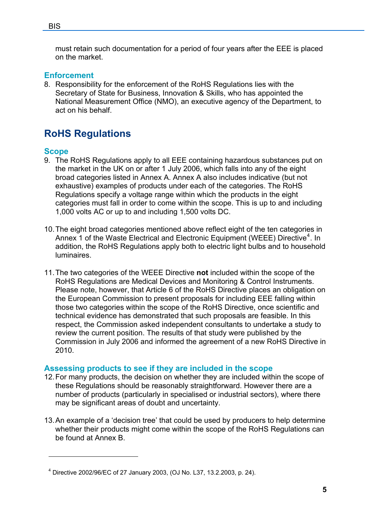<span id="page-4-0"></span>must retain such documentation for a period of four years after the EEE is placed on the market.

# **Enforcement**

8. Responsibility for the enforcement of the RoHS Regulations lies with the Secretary of State for Business, Innovation & Skills, who has appointed the National Measurement Office (NMO), an executive agency of the Department, to act on his behalf.

# **RoHS Regulations**

# **Scope**

1

- 9. The RoHS Regulations apply to all EEE containing hazardous substances put on the market in the UK on or after 1 July 2006, which falls into any of the eight broad categories listed in Annex A. Annex A also includes indicative (but not exhaustive) examples of products under each of the categories. The RoHS Regulations specify a voltage range within which the products in the eight categories must fall in order to come within the scope. This is up to and including 1,000 volts AC or up to and including 1,500 volts DC.
- 10. The eight broad categories mentioned above reflect eight of the ten categories in Annex 1 of the Waste Electrical and Electronic Equipment (WEEE) Directive<sup>[4](#page-4-1)</sup>. In addition, the RoHS Regulations apply both to electric light bulbs and to household luminaires.
- 11. The two categories of the WEEE Directive **not** included within the scope of the RoHS Regulations are Medical Devices and Monitoring & Control Instruments. Please note, however, that Article 6 of the RoHS Directive places an obligation on the European Commission to present proposals for including EEE falling within those two categories within the scope of the RoHS Directive, once scientific and technical evidence has demonstrated that such proposals are feasible. In this respect, the Commission asked independent consultants to undertake a study to review the current position. The results of that study were published by the Commission in July 2006 and informed the agreement of a new RoHS Directive in 2010.

# **Assessing products to see if they are included in the scope**

- 12. For many products, the decision on whether they are included within the scope of these Regulations should be reasonably straightforward. However there are a number of products (particularly in specialised or industrial sectors), where there may be significant areas of doubt and uncertainty.
- 13. An example of a 'decision tree' that could be used by producers to help determine whether their products might come within the scope of the RoHS Regulations can be found at Annex B.

<span id="page-4-1"></span><sup>4</sup> Directive 2002/96/EC of 27 January 2003, (OJ No. L37, 13.2.2003, p. 24).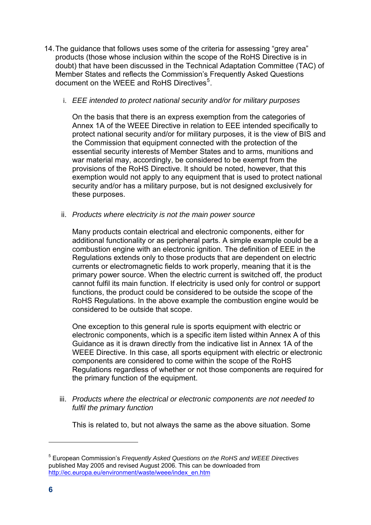14. The guidance that follows uses some of the criteria for assessing "grey area" products (those whose inclusion within the scope of the RoHS Directive is in doubt) that have been discussed in the Technical Adaptation Committee (TAC) of Member States and reflects the Commission's Frequently Asked Questions document on the WEEE and RoHS Directives<sup>[5](#page-5-0)</sup>.

#### i. *EEE intended to protect national security and/or for military purposes*

On the basis that there is an express exemption from the categories of Annex 1A of the WEEE Directive in relation to EEE intended specifically to protect national security and/or for military purposes, it is the view of BIS and the Commission that equipment connected with the protection of the essential security interests of Member States and to arms, munitions and war material may, accordingly, be considered to be exempt from the provisions of the RoHS Directive. It should be noted, however, that this exemption would not apply to any equipment that is used to protect national security and/or has a military purpose, but is not designed exclusively for these purposes.

ii. *Products where electricity is not the main power source* 

Many products contain electrical and electronic components, either for additional functionality or as peripheral parts. A simple example could be a combustion engine with an electronic ignition. The definition of EEE in the Regulations extends only to those products that are dependent on electric currents or electromagnetic fields to work properly, meaning that it is the primary power source. When the electric current is switched off, the product cannot fulfil its main function. If electricity is used only for control or support functions, the product could be considered to be outside the scope of the RoHS Regulations. In the above example the combustion engine would be considered to be outside that scope.

One exception to this general rule is sports equipment with electric or electronic components, which is a specific item listed within Annex A of this Guidance as it is drawn directly from the indicative list in Annex 1A of the WEEE Directive. In this case, all sports equipment with electric or electronic components are considered to come within the scope of the RoHS Regulations regardless of whether or not those components are required for the primary function of the equipment.

iii. *Products where the electrical or electronic components are not needed to fulfil the primary function* 

This is related to, but not always the same as the above situation. Some

<span id="page-5-0"></span><sup>5</sup> European Commission's *Frequently Asked Questions on the RoHS and WEEE Directives*  published May 2005 and revised August 2006. This can be downloaded from [http://ec.europa.eu/environment/waste/weee/index\\_en.htm](http://ec.europa.eu/environment/waste/weee/index_en.htm)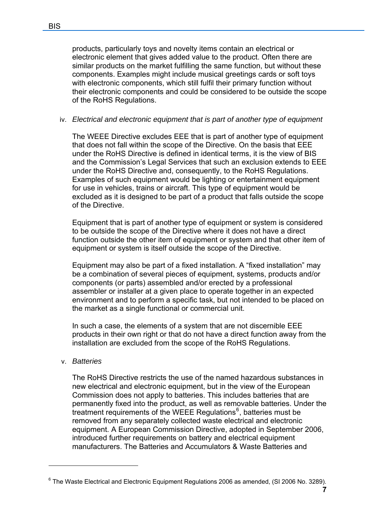products, particularly toys and novelty items contain an electrical or electronic element that gives added value to the product. Often there are similar products on the market fulfilling the same function, but without these components. Examples might include musical greetings cards or soft toys with electronic components, which still fulfil their primary function without their electronic components and could be considered to be outside the scope of the RoHS Regulations.

# iv. *Electrical and electronic equipment that is part of another type of equipment*

The WEEE Directive excludes EEE that is part of another type of equipment that does not fall within the scope of the Directive. On the basis that EEE under the RoHS Directive is defined in identical terms, it is the view of BIS and the Commission's Legal Services that such an exclusion extends to EEE under the RoHS Directive and, consequently, to the RoHS Regulations. Examples of such equipment would be lighting or entertainment equipment for use in vehicles, trains or aircraft. This type of equipment would be excluded as it is designed to be part of a product that falls outside the scope of the Directive.

Equipment that is part of another type of equipment or system is considered to be outside the scope of the Directive where it does not have a direct function outside the other item of equipment or system and that other item of equipment or system is itself outside the scope of the Directive.

Equipment may also be part of a fixed installation. A "fixed installation" may be a combination of several pieces of equipment, systems, products and/or components (or parts) assembled and/or erected by a professional assembler or installer at a given place to operate together in an expected environment and to perform a specific task, but not intended to be placed on the market as a single functional or commercial unit.

In such a case, the elements of a system that are not discernible EEE products in their own right or that do not have a direct function away from the installation are excluded from the scope of the RoHS Regulations.

#### v. *Batteries*

1

The RoHS Directive restricts the use of the named hazardous substances in new electrical and electronic equipment, but in the view of the European Commission does not apply to batteries. This includes batteries that are permanently fixed into the product, as well as removable batteries. Under the treatment requirements of the WEEE Regulations<sup>[6](#page-6-0)</sup>, batteries must be removed from any separately collected waste electrical and electronic equipment. A European Commission Directive, adopted in September 2006, introduced further requirements on battery and electrical equipment manufacturers. The Batteries and Accumulators & Waste Batteries and

<span id="page-6-0"></span> $6$  The Waste Electrical and Electronic Equipment Regulations 2006 as amended, (SI 2006 No. 3289).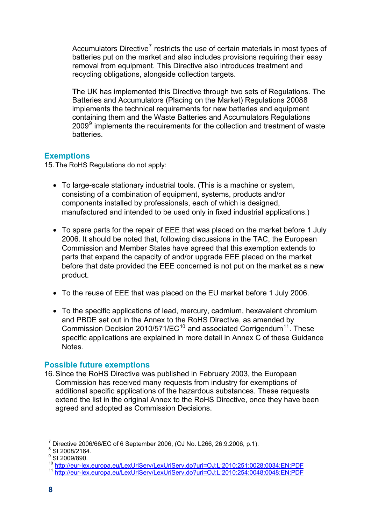<span id="page-7-0"></span>Accumulators Directive<sup>7</sup> restricts the use of certain materials in most types of batteries put on the market and also includes provisions requiring their easy removal from equipment. This Directive also introduces treatment and recycling obligations, alongside collection targets.

The UK has implemented this Directive through two sets of Regulations. The Batteries and Accumulators (Placing on the Market) Regulations 20088 implements the technical requirements for new batteries and equipment containing them and the Waste Batteries and Accumulators Regulations 2009<sup>9</sup> implements the requirements for the collection and treatment of waste **batteries** 

# **Exemptions**

15.The RoHS Regulations do not apply:

- To large-scale stationary industrial tools. (This is a machine or system, consisting of a combination of equipment, systems, products and/or components installed by professionals, each of which is designed, manufactured and intended to be used only in fixed industrial applications.)
- To spare parts for the repair of EEE that was placed on the market before 1 July 2006. It should be noted that, following discussions in the TAC, the European Commission and Member States have agreed that this exemption extends to parts that expand the capacity of and/or upgrade EEE placed on the market before that date provided the EEE concerned is not put on the market as a new product.
- To the reuse of EEE that was placed on the EU market before 1 July 2006.
- To the specific applications of lead, mercury, cadmium, hexavalent chromium and PBDE set out in the Annex to the RoHS Directive, as amended by Commission Decision 20[10](#page-7-1)/571/EC<sup>10</sup> and associated Corrigendum<sup>[11](#page-7-2)</sup>. These specific applications are explained in more detail in Annex C of these Guidance **Notes**

# **Possible future exemptions**

16. Since the RoHS Directive was published in February 2003, the European Commission has received many requests from industry for exemptions of additional specific applications of the hazardous substances. These requests extend the list in the original Annex to the RoHS Directive, once they have been agreed and adopted as Commission Decisions.

<sup>&</sup>lt;sup>7</sup> Directive 2006/66/EC of 6 September 2006, (OJ No. L266, 26.9.2006, p.1).

 $8$  SI 2008/2164.

<sup>&</sup>lt;sup>9</sup> SI 2009/890.

<span id="page-7-2"></span><span id="page-7-1"></span><sup>10</sup> <http://eur-lex.europa.eu/LexUriServ/LexUriServ.do?uri=OJ:L:2010:251:0028:0034:EN:PDF><br>11 <http://eur-lex.europa.eu/LexUriServ/LexUriServ.do?uri=OJ:L:2010:254:0048:0048:EN:PDF>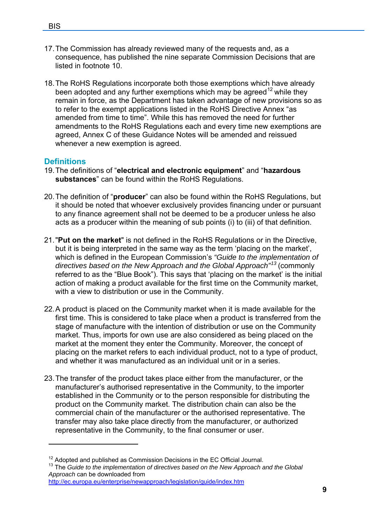- <span id="page-8-0"></span>17. The Commission has already reviewed many of the requests and, as a consequence, has published the nine separate Commission Decisions that are listed in footnote 10.
- 18. The RoHS Regulations incorporate both those exemptions which have already been adopted and any further exemptions which may be agreed<sup>[12](#page-8-1)</sup> while they remain in force, as the Department has taken advantage of new provisions so as to refer to the exempt applications listed in the RoHS Directive Annex "as amended from time to time". While this has removed the need for further amendments to the RoHS Regulations each and every time new exemptions are agreed, Annex C of these Guidance Notes will be amended and reissued whenever a new exemption is agreed.

# **Definitions**

- 19. The definitions of "**electrical and electronic equipment**" and "**hazardous substances**" can be found within the RoHS Regulations.
- 20. The definition of "**producer**" can also be found within the RoHS Regulations, but it should be noted that whoever exclusively provides financing under or pursuant to any finance agreement shall not be deemed to be a producer unless he also acts as a producer within the meaning of sub points (i) to (iii) of that definition.
- 21. "**Put on the market**" is not defined in the RoHS Regulations or in the Directive, but it is being interpreted in the same way as the term 'placing on the market', which is defined in the European Commission's *"Guide to the implementation of directives based on the New Approach and the Global Approach"[13](#page-8-1)* (commonly referred to as the "Blue Book"). This says that 'placing on the market' is the initial action of making a product available for the first time on the Community market, with a view to distribution or use in the Community.
- 22. A product is placed on the Community market when it is made available for the first time. This is considered to take place when a product is transferred from the stage of manufacture with the intention of distribution or use on the Community market. Thus, imports for own use are also considered as being placed on the market at the moment they enter the Community. Moreover, the concept of placing on the market refers to each individual product, not to a type of product, and whether it was manufactured as an individual unit or in a series.
- 23. The transfer of the product takes place either from the manufacturer, or the manufacturer's authorised representative in the Community, to the importer established in the Community or to the person responsible for distributing the product on the Community market. The distribution chain can also be the commercial chain of the manufacturer or the authorised representative. The transfer may also take place directly from the manufacturer, or authorized representative in the Community, to the final consumer or user.

<span id="page-8-1"></span><sup>&</sup>lt;sup>12</sup> Adopted and published as Commission Decisions in the EC Official Journal.<br><sup>13</sup> The *Guide to the implementation of directives based on the New Approach and the Global Approach* can be downloaded from

<http://ec.europa.eu/enterprise/newapproach/legislation/guide/index.htm>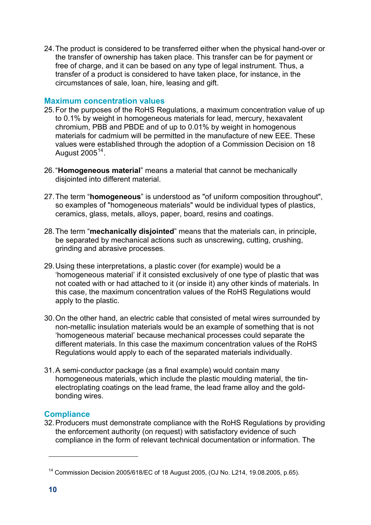<span id="page-9-0"></span>24. The product is considered to be transferred either when the physical hand-over or the transfer of ownership has taken place. This transfer can be for payment or free of charge, and it can be based on any type of legal instrument. Thus, a transfer of a product is considered to have taken place, for instance, in the circumstances of sale, loan, hire, leasing and gift.

#### **Maximum concentration values**

- 25. For the purposes of the RoHS Regulations, a maximum concentration value of up to 0.1% by weight in homogeneous materials for lead, mercury, hexavalent chromium, PBB and PBDE and of up to 0.01% by weight in homogenous materials for cadmium will be permitted in the manufacture of new EEE. These values were established through the adoption of a Commission Decision on 18 August  $2005^{14}$  $2005^{14}$  $2005^{14}$ .
- 26. "**Homogeneous material**" means a material that cannot be mechanically disjointed into different material.
- 27. The term "**homogeneous**" is understood as "of uniform composition throughout", so examples of "homogeneous materials" would be individual types of plastics, ceramics, glass, metals, alloys, paper, board, resins and coatings.
- 28. The term "**mechanically disjointed**" means that the materials can, in principle, be separated by mechanical actions such as unscrewing, cutting, crushing, grinding and abrasive processes.
- 29. Using these interpretations, a plastic cover (for example) would be a 'homogeneous material' if it consisted exclusively of one type of plastic that was not coated with or had attached to it (or inside it) any other kinds of materials. In this case, the maximum concentration values of the RoHS Regulations would apply to the plastic.
- 30. On the other hand, an electric cable that consisted of metal wires surrounded by non-metallic insulation materials would be an example of something that is not 'homogeneous material' because mechanical processes could separate the different materials. In this case the maximum concentration values of the RoHS Regulations would apply to each of the separated materials individually.
- 31. A semi-conductor package (as a final example) would contain many homogeneous materials, which include the plastic moulding material, the tinelectroplating coatings on the lead frame, the lead frame alloy and the goldbonding wires.

# **Compliance**

32. Producers must demonstrate compliance with the RoHS Regulations by providing the enforcement authority (on request) with satisfactory evidence of such compliance in the form of relevant technical documentation or information. The

<span id="page-9-1"></span><sup>14</sup> Commission Decision 2005/618/EC of 18 August 2005, (OJ No. L214, 19.08.2005, p.65).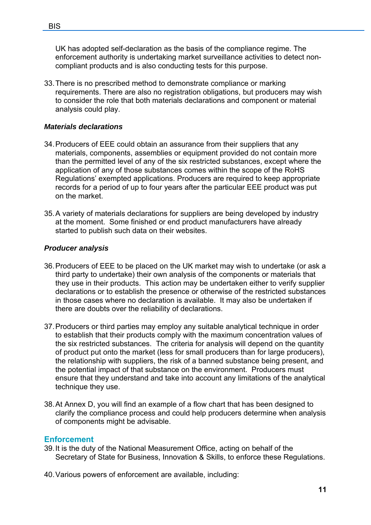<span id="page-10-0"></span>UK has adopted self-declaration as the basis of the compliance regime. The enforcement authority is undertaking market surveillance activities to detect noncompliant products and is also conducting tests for this purpose.

33. There is no prescribed method to demonstrate compliance or marking requirements. There are also no registration obligations, but producers may wish to consider the role that both materials declarations and component or material analysis could play.

## *Materials declarations*

- 34. Producers of EEE could obtain an assurance from their suppliers that any materials, components, assemblies or equipment provided do not contain more than the permitted level of any of the six restricted substances, except where the application of any of those substances comes within the scope of the RoHS Regulations' exempted applications. Producers are required to keep appropriate records for a period of up to four years after the particular EEE product was put on the market.
- 35. A variety of materials declarations for suppliers are being developed by industry at the moment. Some finished or end product manufacturers have already started to publish such data on their websites.

# *Producer analysis*

- 36. Producers of EEE to be placed on the UK market may wish to undertake (or ask a third party to undertake) their own analysis of the components or materials that they use in their products. This action may be undertaken either to verify supplier declarations or to establish the presence or otherwise of the restricted substances in those cases where no declaration is available. It may also be undertaken if there are doubts over the reliability of declarations.
- 37. Producers or third parties may employ any suitable analytical technique in order to establish that their products comply with the maximum concentration values of the six restricted substances. The criteria for analysis will depend on the quantity of product put onto the market (less for small producers than for large producers), the relationship with suppliers, the risk of a banned substance being present, and the potential impact of that substance on the environment. Producers must ensure that they understand and take into account any limitations of the analytical technique they use.
- 38. At Annex D, you will find an example of a flow chart that has been designed to clarify the compliance process and could help producers determine when analysis of components might be advisable.

#### **Enforcement**

39. It is the duty of the National Measurement Office, acting on behalf of the Secretary of State for Business, Innovation & Skills, to enforce these Regulations.

40. Various powers of enforcement are available, including: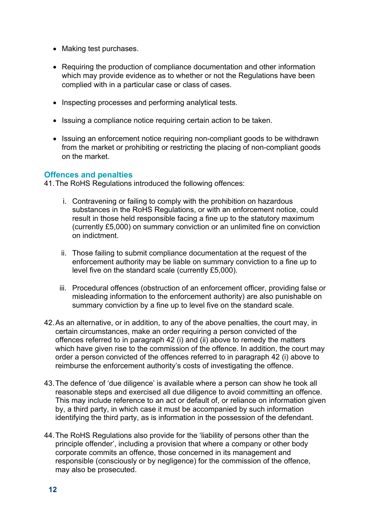- <span id="page-11-0"></span>• Making test purchases.
- Requiring the production of compliance documentation and other information which may provide evidence as to whether or not the Regulations have been complied with in a particular case or class of cases.
- Inspecting processes and performing analytical tests.
- Issuing a compliance notice requiring certain action to be taken.
- Issuing an enforcement notice requiring non-compliant goods to be withdrawn from the market or prohibiting or restricting the placing of non-compliant goods on the market.

#### **Offences and penalties**

41. The RoHS Regulations introduced the following offences:

- i. Contravening or failing to comply with the prohibition on hazardous substances in the RoHS Regulations, or with an enforcement notice, could result in those held responsible facing a fine up to the statutory maximum (currently £5,000) on summary conviction or an unlimited fine on conviction on indictment.
- ii. Those failing to submit compliance documentation at the request of the enforcement authority may be liable on summary conviction to a fine up to level five on the standard scale (currently £5,000).
- iii. Procedural offences (obstruction of an enforcement officer, providing false or misleading information to the enforcement authority) are also punishable on summary conviction by a fine up to level five on the standard scale.
- 42. As an alternative, or in addition, to any of the above penalties, the court may, in certain circumstances, make an order requiring a person convicted of the offences referred to in paragraph 42 (i) and (ii) above to remedy the matters which have given rise to the commission of the offence. In addition, the court may order a person convicted of the offences referred to in paragraph 42 (i) above to reimburse the enforcement authority's costs of investigating the offence.
- 43. The defence of 'due diligence' is available where a person can show he took all reasonable steps and exercised all due diligence to avoid committing an offence. This may include reference to an act or default of, or reliance on information given by, a third party, in which case it must be accompanied by such information identifying the third party, as is information in the possession of the defendant.
- 44. The RoHS Regulations also provide for the 'liability of persons other than the principle offender', including a provision that where a company or other body corporate commits an offence, those concerned in its management and responsible (consciously or by negligence) for the commission of the offence, may also be prosecuted.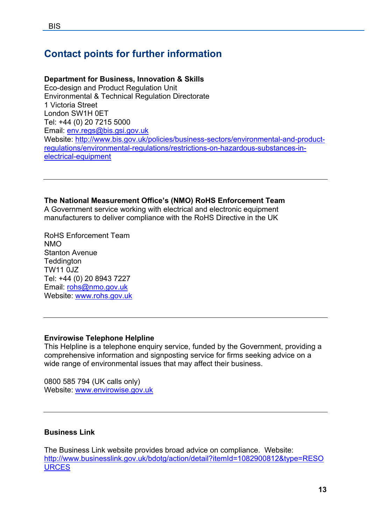# <span id="page-12-0"></span>**Contact points for further information**

# **Department for Business, Innovation & Skills**

Eco-design and Product Regulation Unit Environmental & Technical Regulation Directorate 1 Victoria Street London SW1H 0ET Tel: +44 (0) 20 7215 5000 Email: [env.regs@bis.gsi.gov.uk](mailto:env.regs@bis.gsi.gov.uk) Website: [http://www.bis.gov.uk/policies/business-sectors/environmental-and-product](http://www.bis.gov.uk/policies/business-sectors/environmental-and-product-regulations/environmental-regulations/restrictions-on-hazardous-substances-in-electrical-equipment)[regulations/environmental-regulations/restrictions-on-hazardous-substances-in](http://www.bis.gov.uk/policies/business-sectors/environmental-and-product-regulations/environmental-regulations/restrictions-on-hazardous-substances-in-electrical-equipment)[electrical-equipment](http://www.bis.gov.uk/policies/business-sectors/environmental-and-product-regulations/environmental-regulations/restrictions-on-hazardous-substances-in-electrical-equipment)

# **The National Measurement Office's (NMO) RoHS Enforcement Team**

A Government service working with electrical and electronic equipment manufacturers to deliver compliance with the RoHS Directive in the UK

RoHS Enforcement Team NMO Stanton Avenue **Teddington** TW11 0JZ Tel: +44 (0) 20 8943 7227 Email: [rohs@nmo.gov.uk](mailto:rohs@nmo.gov.uk) Website: [www.rohs.gov.uk](http://www.rohs.gov.uk/)

# **Envirowise Telephone Helpline**

This Helpline is a telephone enquiry service, funded by the Government, providing a comprehensive information and signposting service for firms seeking advice on a wide range of environmental issues that may affect their business.

0800 585 794 (UK calls only) Website: [www.envirowise.gov.uk](http://www.envirowise.gov.uk/) 

# **Business Link**

The Business Link website provides broad advice on compliance. Website: [http://www.businesslink.gov.uk/bdotg/action/detail?itemId=1082900812&type=RESO](http://www.businesslink.gov.uk/bdotg/action/detail?itemId=1082900812&type=RESOURCES) **URCES**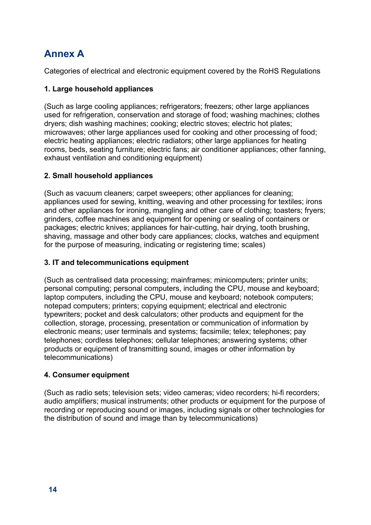# <span id="page-13-0"></span>**Annex A**

Categories of electrical and electronic equipment covered by the RoHS Regulations

# **1. Large household appliances**

(Such as large cooling appliances; refrigerators; freezers; other large appliances used for refrigeration, conservation and storage of food; washing machines; clothes dryers; dish washing machines; cooking; electric stoves; electric hot plates; microwaves; other large appliances used for cooking and other processing of food; electric heating appliances; electric radiators; other large appliances for heating rooms, beds, seating furniture; electric fans; air conditioner appliances; other fanning, exhaust ventilation and conditioning equipment)

# **2. Small household appliances**

(Such as vacuum cleaners; carpet sweepers; other appliances for cleaning; appliances used for sewing, knitting, weaving and other processing for textiles; irons and other appliances for ironing, mangling and other care of clothing; toasters; fryers; grinders, coffee machines and equipment for opening or sealing of containers or packages; electric knives; appliances for hair-cutting, hair drying, tooth brushing, shaving, massage and other body care appliances; clocks, watches and equipment for the purpose of measuring, indicating or registering time; scales)

## **3. IT and telecommunications equipment**

(Such as centralised data processing; mainframes; minicomputers; printer units; personal computing; personal computers, including the CPU, mouse and keyboard; laptop computers, including the CPU, mouse and keyboard; notebook computers; notepad computers; printers; copying equipment; electrical and electronic typewriters; pocket and desk calculators; other products and equipment for the collection, storage, processing, presentation or communication of information by electronic means; user terminals and systems; facsimile; telex; telephones; pay telephones; cordless telephones; cellular telephones; answering systems; other products or equipment of transmitting sound, images or other information by telecommunications)

#### **4. Consumer equipment**

(Such as radio sets; television sets; video cameras; video recorders; hi-fi recorders; audio amplifiers; musical instruments; other products or equipment for the purpose of recording or reproducing sound or images, including signals or other technologies for the distribution of sound and image than by telecommunications)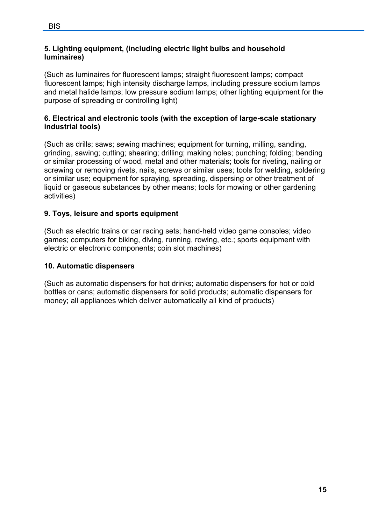# **5. Lighting equipment, (including electric light bulbs and household luminaires)**

(Such as luminaires for fluorescent lamps; straight fluorescent lamps; compact fluorescent lamps; high intensity discharge lamps, including pressure sodium lamps and metal halide lamps; low pressure sodium lamps; other lighting equipment for the purpose of spreading or controlling light)

# **6. Electrical and electronic tools (with the exception of large-scale stationary industrial tools)**

(Such as drills; saws; sewing machines; equipment for turning, milling, sanding, grinding, sawing; cutting; shearing; drilling; making holes; punching; folding; bending or similar processing of wood, metal and other materials; tools for riveting, nailing or screwing or removing rivets, nails, screws or similar uses; tools for welding, soldering or similar use; equipment for spraying, spreading, dispersing or other treatment of liquid or gaseous substances by other means; tools for mowing or other gardening activities)

# **9. Toys, leisure and sports equipment**

(Such as electric trains or car racing sets; hand-held video game consoles; video games; computers for biking, diving, running, rowing, etc.; sports equipment with electric or electronic components; coin slot machines)

# **10. Automatic dispensers**

(Such as automatic dispensers for hot drinks; automatic dispensers for hot or cold bottles or cans; automatic dispensers for solid products; automatic dispensers for money; all appliances which deliver automatically all kind of products)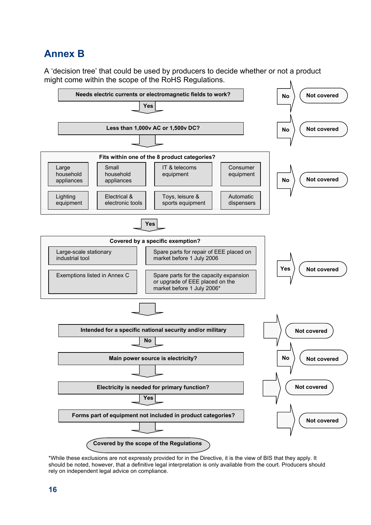# <span id="page-15-0"></span>**Annex B**

A 'decision tree' that could be used by producers to decide whether or not a product might come within the scope of the RoHS Regulations.



\*While these exclusions are not expressly provided for in the Directive, it is the view of BIS that they apply. It should be noted, however, that a definitive legal interpretation is only available from the court. Producers should rely on independent legal advice on compliance.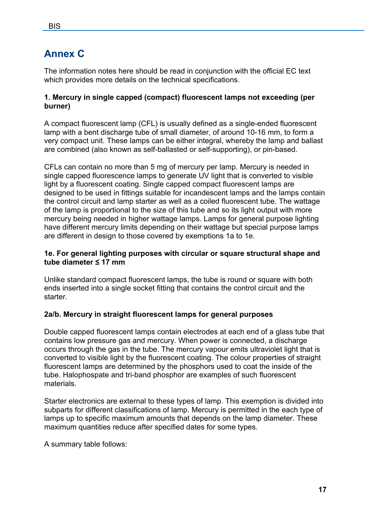# <span id="page-16-0"></span>**Annex C**

The information notes here should be read in conjunction with the official EC text which provides more details on the technical specifications.

#### **1. Mercury in single capped (compact) fluorescent lamps not exceeding (per burner)**

A compact fluorescent lamp (CFL) is usually defined as a single-ended fluorescent lamp with a bent discharge tube of small diameter, of around 10-16 mm, to form a very compact unit. These lamps can be either integral, whereby the lamp and ballast are combined (also known as self-ballasted or self-supporting), or pin-based.

CFLs can contain no more than 5 mg of mercury per lamp. Mercury is needed in single capped fluorescence lamps to generate UV light that is converted to visible light by a fluorescent coating. Single capped compact fluorescent lamps are designed to be used in fittings suitable for incandescent lamps and the lamps contain the control circuit and lamp starter as well as a coiled fluorescent tube. The wattage of the lamp is proportional to the size of this tube and so its light output with more mercury being needed in higher wattage lamps. Lamps for general purpose lighting have different mercury limits depending on their wattage but special purpose lamps are different in design to those covered by exemptions 1a to 1e.

#### **1e. For general lighting purposes with circular or square structural shape and tube diameter ≤ 17 mm**

Unlike standard compact fluorescent lamps, the tube is round or square with both ends inserted into a single socket fitting that contains the control circuit and the starter.

#### **2a/b. Mercury in straight fluorescent lamps for general purposes**

Double capped fluorescent lamps contain electrodes at each end of a glass tube that contains low pressure gas and mercury. When power is connected, a discharge occurs through the gas in the tube. The mercury vapour emits ultraviolet light that is converted to visible light by the fluorescent coating. The colour properties of straight fluorescent lamps are determined by the phosphors used to coat the inside of the tube. Halophospate and tri-band phosphor are examples of such fluorescent materials.

Starter electronics are external to these types of lamp. This exemption is divided into subparts for different classifications of lamp. Mercury is permitted in the each type of lamps up to specific maximum amounts that depends on the lamp diameter. These maximum quantities reduce after specified dates for some types.

A summary table follows: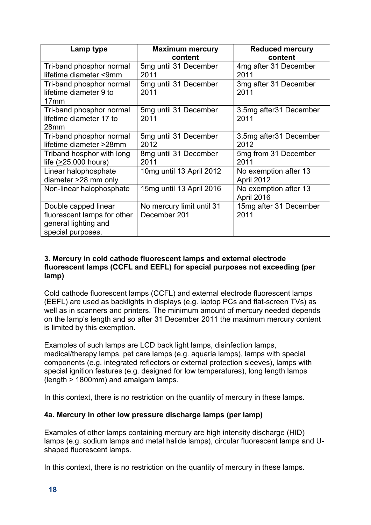| Lamp type                                                                                        | <b>Maximum mercury</b>                    | <b>Reduced mercury</b>              |
|--------------------------------------------------------------------------------------------------|-------------------------------------------|-------------------------------------|
|                                                                                                  | content                                   | content                             |
| Tri-band phosphor normal<br>lifetime diameter <9mm                                               | 5mg until 31 December<br>2011             | 4mg after 31 December<br>2011       |
| Tri-band phosphor normal<br>lifetime diameter 9 to<br>17 <sub>mm</sub>                           | 5mg until 31 December<br>2011             | 3mg after 31 December<br>2011       |
| Tri-band phosphor normal<br>lifetime diameter 17 to<br>28 <sub>mm</sub>                          | 5mg until 31 December<br>2011             | 3.5mg after 31 December<br>2011     |
| Tri-band phosphor normal<br>lifetime diameter >28mm                                              | 5mg until 31 December<br>2012             | 3.5mg after 31 December<br>2012     |
| Triband hosphor with long<br>life (>25,000 hours)                                                | 8mg until 31 December<br>2011             | 5mg from 31 December<br>2011        |
| Linear halophosphate<br>diameter >28 mm only                                                     | 10mg until 13 April 2012                  | No exemption after 13<br>April 2012 |
| Non-linear halophosphate                                                                         | 15mg until 13 April 2016                  | No exemption after 13<br>April 2016 |
| Double capped linear<br>fluorescent lamps for other<br>general lighting and<br>special purposes. | No mercury limit until 31<br>December 201 | 15mg after 31 December<br>2011      |

#### **3. Mercury in cold cathode fluorescent lamps and external electrode fluorescent lamps (CCFL and EEFL) for special purposes not exceeding (per lamp)**

Cold cathode fluorescent lamps (CCFL) and external electrode fluorescent lamps (EEFL) are used as backlights in displays (e.g. laptop PCs and flat-screen TVs) as well as in scanners and printers. The minimum amount of mercury needed depends on the lamp's length and so after 31 December 2011 the maximum mercury content is limited by this exemption.

Examples of such lamps are LCD back light lamps, disinfection lamps, medical/therapy lamps, pet care lamps (e.g. aquaria lamps), lamps with special components (e.g. integrated reflectors or external protection sleeves), lamps with special ignition features (e.g. designed for low temperatures), long length lamps (length > 1800mm) and amalgam lamps.

In this context, there is no restriction on the quantity of mercury in these lamps.

# **4a. Mercury in other low pressure discharge lamps (per lamp)**

Examples of other lamps containing mercury are high intensity discharge (HID) lamps (e.g. sodium lamps and metal halide lamps), circular fluorescent lamps and Ushaped fluorescent lamps.

In this context, there is no restriction on the quantity of mercury in these lamps.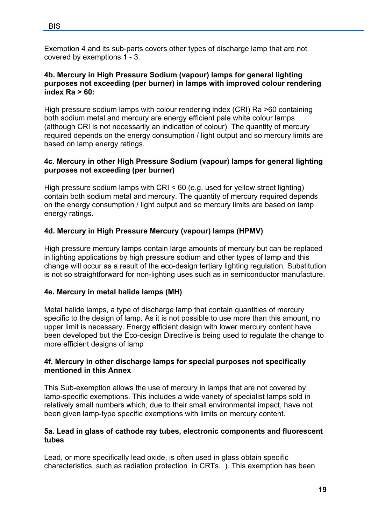Exemption 4 and its sub-parts covers other types of discharge lamp that are not covered by exemptions 1 - 3.

## **4b. Mercury in High Pressure Sodium (vapour) lamps for general lighting purposes not exceeding (per burner) in lamps with improved colour rendering index Ra > 60:**

High pressure sodium lamps with colour rendering index (CRI) Ra >60 containing both sodium metal and mercury are energy efficient pale white colour lamps (although CRI is not necessarily an indication of colour). The quantity of mercury required depends on the energy consumption / light output and so mercury limits are based on lamp energy ratings.

# **4c. Mercury in other High Pressure Sodium (vapour) lamps for general lighting purposes not exceeding (per burner)**

High pressure sodium lamps with CRI < 60 (e.g. used for yellow street lighting) contain both sodium metal and mercury. The quantity of mercury required depends on the energy consumption / light output and so mercury limits are based on lamp energy ratings.

# **4d. Mercury in High Pressure Mercury (vapour) lamps (HPMV)**

High pressure mercury lamps contain large amounts of mercury but can be replaced in lighting applications by high pressure sodium and other types of lamp and this change will occur as a result of the eco-design tertiary lighting regulation. Substitution is not so straightforward for non-lighting uses such as in semiconductor manufacture.

# **4e. Mercury in metal halide lamps (MH)**

Metal halide lamps, a type of discharge lamp that contain quantities of mercury specific to the design of lamp. As it is not possible to use more than this amount, no upper limit is necessary. Energy efficient design with lower mercury content have been developed but the Eco-design Directive is being used to regulate the change to more efficient designs of lamp

# **4f. Mercury in other discharge lamps for special purposes not specifically mentioned in this Annex**

This Sub-exemption allows the use of mercury in lamps that are not covered by lamp-specific exemptions. This includes a wide variety of specialist lamps sold in relatively small numbers which, due to their small environmental impact, have not been given lamp-type specific exemptions with limits on mercury content.

#### **5a. Lead in glass of cathode ray tubes, electronic components and fluorescent tubes**

Lead, or more specifically lead oxide, is often used in glass obtain specific characteristics, such as radiation protection in CRTs. ). This exemption has been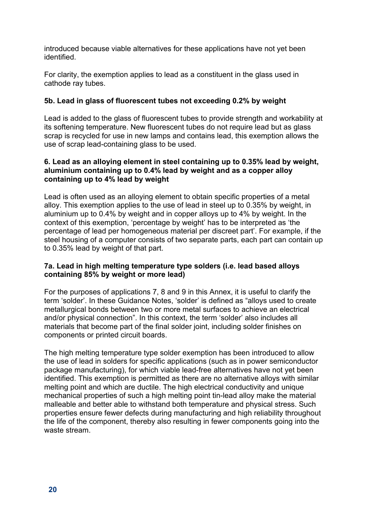introduced because viable alternatives for these applications have not yet been identified.

For clarity, the exemption applies to lead as a constituent in the glass used in cathode ray tubes.

# **5b. Lead in glass of fluorescent tubes not exceeding 0.2% by weight**

Lead is added to the glass of fluorescent tubes to provide strength and workability at its softening temperature. New fluorescent tubes do not require lead but as glass scrap is recycled for use in new lamps and contains lead, this exemption allows the use of scrap lead-containing glass to be used.

#### **6. Lead as an alloying element in steel containing up to 0.35% lead by weight, aluminium containing up to 0.4% lead by weight and as a copper alloy containing up to 4% lead by weight**

Lead is often used as an alloying element to obtain specific properties of a metal alloy. This exemption applies to the use of lead in steel up to 0.35% by weight, in aluminium up to 0.4% by weight and in copper alloys up to 4% by weight. In the context of this exemption, 'percentage by weight' has to be interpreted as 'the percentage of lead per homogeneous material per discreet part'. For example, if the steel housing of a computer consists of two separate parts, each part can contain up to 0.35% lead by weight of that part.

# **7a. Lead in high melting temperature type solders (i.e. lead based alloys containing 85% by weight or more lead)**

For the purposes of applications 7, 8 and 9 in this Annex, it is useful to clarify the term 'solder'. In these Guidance Notes, 'solder' is defined as "alloys used to create metallurgical bonds between two or more metal surfaces to achieve an electrical and/or physical connection". In this context, the term 'solder' also includes all materials that become part of the final solder joint, including solder finishes on components or printed circuit boards.

The high melting temperature type solder exemption has been introduced to allow the use of lead in solders for specific applications (such as in power semiconductor package manufacturing), for which viable lead-free alternatives have not yet been identified. This exemption is permitted as there are no alternative alloys with similar melting point and which are ductile. The high electrical conductivity and unique mechanical properties of such a high melting point tin-lead alloy make the material malleable and better able to withstand both temperature and physical stress. Such properties ensure fewer defects during manufacturing and high reliability throughout the life of the component, thereby also resulting in fewer components going into the waste stream.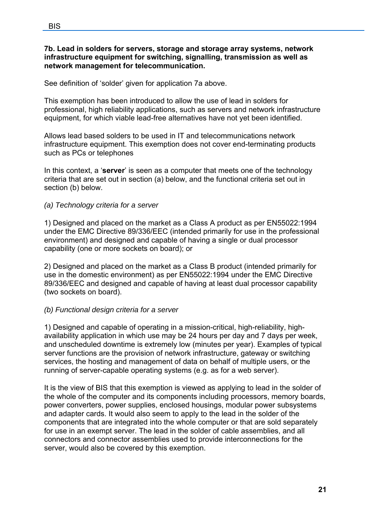#### **7b. Lead in solders for servers, storage and storage array systems, network infrastructure equipment for switching, signalling, transmission as well as network management for telecommunication.**

See definition of 'solder' given for application 7a above.

This exemption has been introduced to allow the use of lead in solders for professional, high reliability applications, such as servers and network infrastructure equipment, for which viable lead-free alternatives have not yet been identified.

Allows lead based solders to be used in IT and telecommunications network infrastructure equipment. This exemption does not cover end-terminating products such as PCs or telephones

In this context, a '**server**' is seen as a computer that meets one of the technology criteria that are set out in section (a) below, and the functional criteria set out in section (b) below.

# *(a) Technology criteria for a server*

1) Designed and placed on the market as a Class A product as per EN55022:1994 under the EMC Directive 89/336/EEC (intended primarily for use in the professional environment) and designed and capable of having a single or dual processor capability (one or more sockets on board); or

2) Designed and placed on the market as a Class B product (intended primarily for use in the domestic environment) as per EN55022:1994 under the EMC Directive 89/336/EEC and designed and capable of having at least dual processor capability (two sockets on board).

# *(b) Functional design criteria for a server*

1) Designed and capable of operating in a mission-critical, high-reliability, highavailability application in which use may be 24 hours per day and 7 days per week, and unscheduled downtime is extremely low (minutes per year). Examples of typical server functions are the provision of network infrastructure, gateway or switching services, the hosting and management of data on behalf of multiple users, or the running of server-capable operating systems (e.g. as for a web server).

It is the view of BIS that this exemption is viewed as applying to lead in the solder of the whole of the computer and its components including processors, memory boards, power converters, power supplies, enclosed housings, modular power subsystems and adapter cards. It would also seem to apply to the lead in the solder of the components that are integrated into the whole computer or that are sold separately for use in an exempt server. The lead in the solder of cable assemblies, and all connectors and connector assemblies used to provide interconnections for the server, would also be covered by this exemption.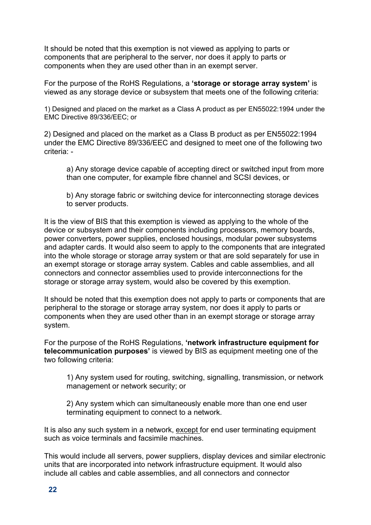It should be noted that this exemption is not viewed as applying to parts or components that are peripheral to the server, nor does it apply to parts or components when they are used other than in an exempt server.

For the purpose of the RoHS Regulations, a **'storage or storage array system'** is viewed as any storage device or subsystem that meets one of the following criteria:

1) Designed and placed on the market as a Class A product as per EN55022:1994 under the EMC Directive 89/336/EEC; or

2) Designed and placed on the market as a Class B product as per EN55022:1994 under the EMC Directive 89/336/EEC and designed to meet one of the following two criteria: -

a) Any storage device capable of accepting direct or switched input from more than one computer, for example fibre channel and SCSI devices, or

b) Any storage fabric or switching device for interconnecting storage devices to server products.

It is the view of BIS that this exemption is viewed as applying to the whole of the device or subsystem and their components including processors, memory boards, power converters, power supplies, enclosed housings, modular power subsystems and adapter cards. It would also seem to apply to the components that are integrated into the whole storage or storage array system or that are sold separately for use in an exempt storage or storage array system. Cables and cable assemblies, and all connectors and connector assemblies used to provide interconnections for the storage or storage array system, would also be covered by this exemption.

It should be noted that this exemption does not apply to parts or components that are peripheral to the storage or storage array system, nor does it apply to parts or components when they are used other than in an exempt storage or storage array system.

For the purpose of the RoHS Regulations, **'network infrastructure equipment for telecommunication purposes'** is viewed by BIS as equipment meeting one of the two following criteria:

1) Any system used for routing, switching, signalling, transmission, or network management or network security; or

2) Any system which can simultaneously enable more than one end user terminating equipment to connect to a network.

It is also any such system in a network, except for end user terminating equipment such as voice terminals and facsimile machines.

This would include all servers, power suppliers, display devices and similar electronic units that are incorporated into network infrastructure equipment. It would also include all cables and cable assemblies, and all connectors and connector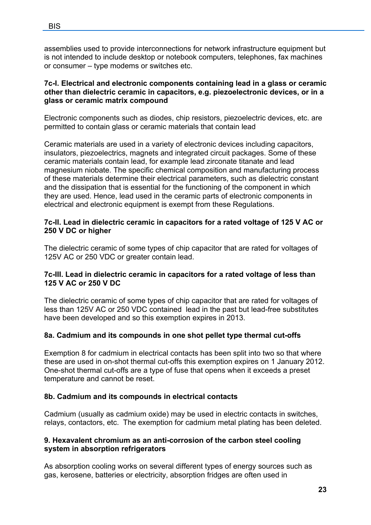assemblies used to provide interconnections for network infrastructure equipment but is not intended to include desktop or notebook computers, telephones, fax machines or consumer – type modems or switches etc.

## **7c-I. Electrical and electronic components containing lead in a glass or ceramic other than dielectric ceramic in capacitors, e.g. piezoelectronic devices, or in a glass or ceramic matrix compound**

Electronic components such as diodes, chip resistors, piezoelectric devices, etc. are permitted to contain glass or ceramic materials that contain lead

Ceramic materials are used in a variety of electronic devices including capacitors, insulators, piezoelectrics, magnets and integrated circuit packages. Some of these ceramic materials contain lead, for example lead zirconate titanate and lead magnesium niobate. The specific chemical composition and manufacturing process of these materials determine their electrical parameters, such as dielectric constant and the dissipation that is essential for the functioning of the component in which they are used. Hence, lead used in the ceramic parts of electronic components in electrical and electronic equipment is exempt from these Regulations.

## **7c-II. Lead in dielectric ceramic in capacitors for a rated voltage of 125 V AC or 250 V DC or higher**

The dielectric ceramic of some types of chip capacitor that are rated for voltages of 125V AC or 250 VDC or greater contain lead.

#### **7c-III. Lead in dielectric ceramic in capacitors for a rated voltage of less than 125 V AC or 250 V DC**

The dielectric ceramic of some types of chip capacitor that are rated for voltages of less than 125V AC or 250 VDC contained lead in the past but lead-free substitutes have been developed and so this exemption expires in 2013.

# **8a. Cadmium and its compounds in one shot pellet type thermal cut-offs**

Exemption 8 for cadmium in electrical contacts has been split into two so that where these are used in on-shot thermal cut-offs this exemption expires on 1 January 2012. One-shot thermal cut-offs are a type of fuse that opens when it exceeds a preset temperature and cannot be reset.

#### **8b. Cadmium and its compounds in electrical contacts**

Cadmium (usually as cadmium oxide) may be used in electric contacts in switches, relays, contactors, etc. The exemption for cadmium metal plating has been deleted.

#### **9. Hexavalent chromium as an anti-corrosion of the carbon steel cooling system in absorption refrigerators**

As absorption cooling works on several different types of energy sources such as gas, kerosene, batteries or electricity, absorption fridges are often used in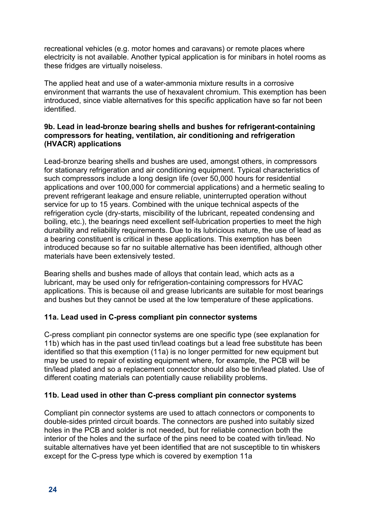recreational vehicles (e.g. motor homes and caravans) or remote places where electricity is not available. Another typical application is for minibars in hotel rooms as these fridges are virtually noiseless.

The applied heat and use of a water-ammonia mixture results in a corrosive environment that warrants the use of hexavalent chromium. This exemption has been introduced, since viable alternatives for this specific application have so far not been identified.

## **9b. Lead in lead-bronze bearing shells and bushes for refrigerant-containing compressors for heating, ventilation, air conditioning and refrigeration (HVACR) applications**

Lead-bronze bearing shells and bushes are used, amongst others, in compressors for stationary refrigeration and air conditioning equipment. Typical characteristics of such compressors include a long design life (over 50,000 hours for residential applications and over 100,000 for commercial applications) and a hermetic sealing to prevent refrigerant leakage and ensure reliable, uninterrupted operation without service for up to 15 years. Combined with the unique technical aspects of the refrigeration cycle (dry-starts, miscibility of the lubricant, repeated condensing and boiling, etc.), the bearings need excellent self-lubrication properties to meet the high durability and reliability requirements. Due to its lubricious nature, the use of lead as a bearing constituent is critical in these applications. This exemption has been introduced because so far no suitable alternative has been identified, although other materials have been extensively tested.

Bearing shells and bushes made of alloys that contain lead, which acts as a lubricant, may be used only for refrigeration-containing compressors for HVAC applications. This is because oil and grease lubricants are suitable for most bearings and bushes but they cannot be used at the low temperature of these applications.

# **11a. Lead used in C-press compliant pin connector systems**

C-press compliant pin connector systems are one specific type (see explanation for 11b) which has in the past used tin/lead coatings but a lead free substitute has been identified so that this exemption (11a) is no longer permitted for new equipment but may be used to repair of existing equipment where, for example, the PCB will be tin/lead plated and so a replacement connector should also be tin/lead plated. Use of different coating materials can potentially cause reliability problems.

# **11b. Lead used in other than C-press compliant pin connector systems**

Compliant pin connector systems are used to attach connectors or components to double-sides printed circuit boards. The connectors are pushed into suitably sized holes in the PCB and solder is not needed, but for reliable connection both the interior of the holes and the surface of the pins need to be coated with tin/lead. No suitable alternatives have yet been identified that are not susceptible to tin whiskers except for the C-press type which is covered by exemption 11a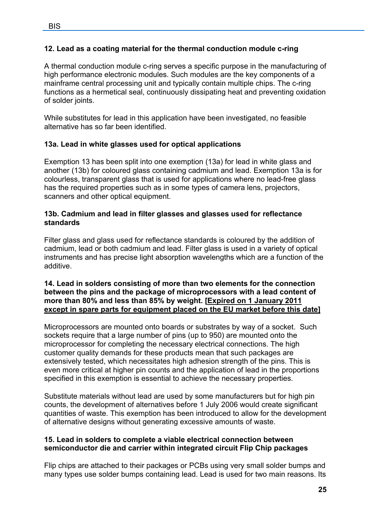# **12. Lead as a coating material for the thermal conduction module c-ring**

A thermal conduction module c-ring serves a specific purpose in the manufacturing of high performance electronic modules. Such modules are the key components of a mainframe central processing unit and typically contain multiple chips. The c-ring functions as a hermetical seal, continuously dissipating heat and preventing oxidation of solder joints.

While substitutes for lead in this application have been investigated, no feasible alternative has so far been identified.

# **13a. Lead in white glasses used for optical applications**

Exemption 13 has been split into one exemption (13a) for lead in white glass and another (13b) for coloured glass containing cadmium and lead. Exemption 13a is for colourless, transparent glass that is used for applications where no lead-free glass has the required properties such as in some types of camera lens, projectors, scanners and other optical equipment.

## **13b. Cadmium and lead in filter glasses and glasses used for reflectance standards**

Filter glass and glass used for reflectance standards is coloured by the addition of cadmium, lead or both cadmium and lead. Filter glass is used in a variety of optical instruments and has precise light absorption wavelengths which are a function of the additive.

#### **14. Lead in solders consisting of more than two elements for the connection between the pins and the package of microprocessors with a lead content of more than 80% and less than 85% by weight. [Expired on 1 January 2011 except in spare parts for equipment placed on the EU market before this date]**

Microprocessors are mounted onto boards or substrates by way of a socket. Such sockets require that a large number of pins (up to 950) are mounted onto the microprocessor for completing the necessary electrical connections. The high customer quality demands for these products mean that such packages are extensively tested, which necessitates high adhesion strength of the pins. This is even more critical at higher pin counts and the application of lead in the proportions specified in this exemption is essential to achieve the necessary properties.

Substitute materials without lead are used by some manufacturers but for high pin counts, the development of alternatives before 1 July 2006 would create significant quantities of waste. This exemption has been introduced to allow for the development of alternative designs without generating excessive amounts of waste.

#### **15. Lead in solders to complete a viable electrical connection between semiconductor die and carrier within integrated circuit Flip Chip packages**

Flip chips are attached to their packages or PCBs using very small solder bumps and many types use solder bumps containing lead. Lead is used for two main reasons. Its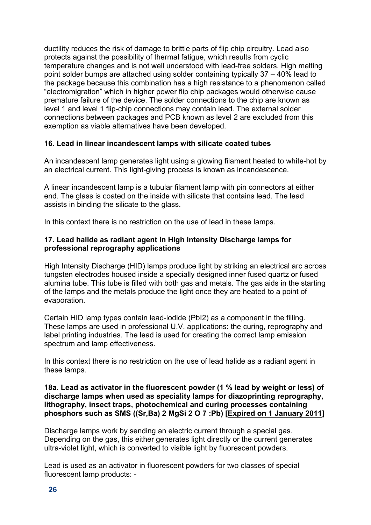ductility reduces the risk of damage to brittle parts of flip chip circuitry. Lead also protects against the possibility of thermal fatigue, which results from cyclic temperature changes and is not well understood with lead-free solders. High melting point solder bumps are attached using solder containing typically 37 – 40% lead to the package because this combination has a high resistance to a phenomenon called "electromigration" which in higher power flip chip packages would otherwise cause premature failure of the device. The solder connections to the chip are known as level 1 and level 1 flip-chip connections may contain lead. The external solder connections between packages and PCB known as level 2 are excluded from this exemption as viable alternatives have been developed.

# **16. Lead in linear incandescent lamps with silicate coated tubes**

An incandescent lamp generates light using a glowing filament heated to white-hot by an electrical current. This light-giving process is known as incandescence.

A linear incandescent lamp is a tubular filament lamp with pin connectors at either end. The glass is coated on the inside with silicate that contains lead. The lead assists in binding the silicate to the glass.

In this context there is no restriction on the use of lead in these lamps.

## **17. Lead halide as radiant agent in High Intensity Discharge lamps for professional reprography applications**

High Intensity Discharge (HID) lamps produce light by striking an electrical arc across tungsten electrodes housed inside a specially designed inner fused quartz or fused alumina tube. This tube is filled with both gas and metals. The gas aids in the starting of the lamps and the metals produce the light once they are heated to a point of evaporation.

Certain HID lamp types contain lead-iodide (PbI2) as a component in the filling. These lamps are used in professional U.V. applications: the curing, reprography and label printing industries. The lead is used for creating the correct lamp emission spectrum and lamp effectiveness.

In this context there is no restriction on the use of lead halide as a radiant agent in these lamps.

#### **18a. Lead as activator in the fluorescent powder (1 % lead by weight or less) of discharge lamps when used as speciality lamps for diazoprinting reprography, lithography, insect traps, photochemical and curing processes containing phosphors such as SMS ((Sr,Ba) 2 MgSi 2 O 7 :Pb) [Expired on 1 January 2011]**

Discharge lamps work by sending an electric current through a special gas. Depending on the gas, this either generates light directly or the current generates ultra-violet light, which is converted to visible light by fluorescent powders.

Lead is used as an activator in fluorescent powders for two classes of special fluorescent lamp products: -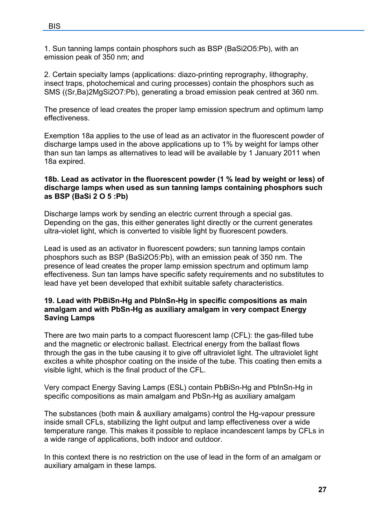1. Sun tanning lamps contain phosphors such as BSP (BaSi2O5:Pb), with an emission peak of 350 nm; and

2. Certain specialty lamps (applications: diazo-printing reprography, lithography, insect traps, photochemical and curing processes) contain the phosphors such as SMS ((Sr,Ba)2MgSi2O7:Pb), generating a broad emission peak centred at 360 nm.

The presence of lead creates the proper lamp emission spectrum and optimum lamp effectiveness.

Exemption 18a applies to the use of lead as an activator in the fluorescent powder of discharge lamps used in the above applications up to 1% by weight for lamps other than sun tan lamps as alternatives to lead will be available by 1 January 2011 when 18a expired.

#### **18b. Lead as activator in the fluorescent powder (1 % lead by weight or less) of discharge lamps when used as sun tanning lamps containing phosphors such as BSP (BaSi 2 O 5 :Pb)**

Discharge lamps work by sending an electric current through a special gas. Depending on the gas, this either generates light directly or the current generates ultra-violet light, which is converted to visible light by fluorescent powders.

Lead is used as an activator in fluorescent powders; sun tanning lamps contain phosphors such as BSP (BaSi2O5:Pb), with an emission peak of 350 nm. The presence of lead creates the proper lamp emission spectrum and optimum lamp effectiveness. Sun tan lamps have specific safety requirements and no substitutes to lead have yet been developed that exhibit suitable safety characteristics.

#### **19. Lead with PbBiSn-Hg and PbInSn-Hg in specific compositions as main amalgam and with PbSn-Hg as auxiliary amalgam in very compact Energy Saving Lamps**

There are two main parts to a compact fluorescent lamp (CFL): the gas-filled tube and the magnetic or electronic ballast. Electrical energy from the ballast flows through the gas in the tube causing it to give off ultraviolet light. The ultraviolet light excites a white phosphor coating on the inside of the tube. This coating then emits a visible light, which is the final product of the CFL.

Very compact Energy Saving Lamps (ESL) contain PbBiSn-Hg and PbInSn-Hg in specific compositions as main amalgam and PbSn-Hg as auxiliary amalgam

The substances (both main & auxiliary amalgams) control the Hg-vapour pressure inside small CFLs, stabilizing the light output and lamp effectiveness over a wide temperature range. This makes it possible to replace incandescent lamps by CFLs in a wide range of applications, both indoor and outdoor.

In this context there is no restriction on the use of lead in the form of an amalgam or auxiliary amalgam in these lamps.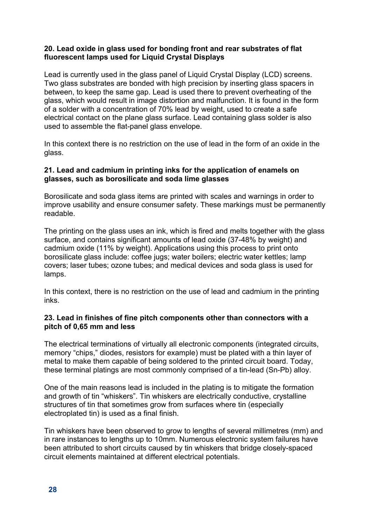## **20. Lead oxide in glass used for bonding front and rear substrates of flat fluorescent lamps used for Liquid Crystal Displays**

Lead is currently used in the glass panel of Liquid Crystal Display (LCD) screens. Two glass substrates are bonded with high precision by inserting glass spacers in between, to keep the same gap. Lead is used there to prevent overheating of the glass, which would result in image distortion and malfunction. It is found in the form of a solder with a concentration of 70% lead by weight, used to create a safe electrical contact on the plane glass surface. Lead containing glass solder is also used to assemble the flat-panel glass envelope.

In this context there is no restriction on the use of lead in the form of an oxide in the glass.

#### **21. Lead and cadmium in printing inks for the application of enamels on glasses, such as borosilicate and soda lime glasses**

Borosilicate and soda glass items are printed with scales and warnings in order to improve usability and ensure consumer safety. These markings must be permanently readable.

The printing on the glass uses an ink, which is fired and melts together with the glass surface, and contains significant amounts of lead oxide (37-48% by weight) and cadmium oxide (11% by weight). Applications using this process to print onto borosilicate glass include: coffee jugs; water boilers; electric water kettles; lamp covers; laser tubes; ozone tubes; and medical devices and soda glass is used for lamps.

In this context, there is no restriction on the use of lead and cadmium in the printing inks.

#### **23. Lead in finishes of fine pitch components other than connectors with a pitch of 0,65 mm and less**

The electrical terminations of virtually all electronic components (integrated circuits, memory "chips," diodes, resistors for example) must be plated with a thin layer of metal to make them capable of being soldered to the printed circuit board. Today, these terminal platings are most commonly comprised of a tin-lead (Sn-Pb) alloy.

One of the main reasons lead is included in the plating is to mitigate the formation and growth of tin "whiskers". Tin whiskers are electrically conductive, crystalline structures of tin that sometimes grow from surfaces where tin (especially electroplated tin) is used as a final finish.

Tin whiskers have been observed to grow to lengths of several millimetres (mm) and in rare instances to lengths up to 10mm. Numerous electronic system failures have been attributed to short circuits caused by tin whiskers that bridge closely-spaced circuit elements maintained at different electrical potentials.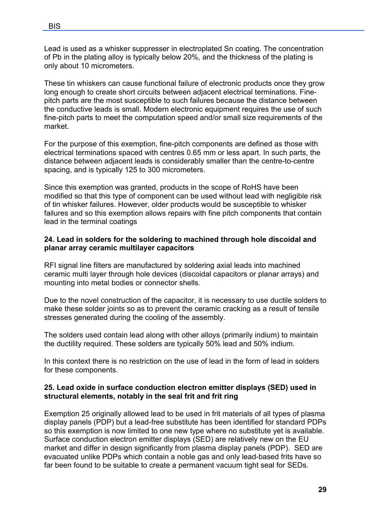Lead is used as a whisker suppresser in electroplated Sn coating. The concentration of Pb in the plating alloy is typically below 20%, and the thickness of the plating is only about 10 micrometers.

These tin whiskers can cause functional failure of electronic products once they grow long enough to create short circuits between adjacent electrical terminations. Finepitch parts are the most susceptible to such failures because the distance between the conductive leads is small. Modern electronic equipment requires the use of such fine-pitch parts to meet the computation speed and/or small size requirements of the market.

For the purpose of this exemption, fine-pitch components are defined as those with electrical terminations spaced with centres 0.65 mm or less apart. In such parts, the distance between adjacent leads is considerably smaller than the centre-to-centre spacing, and is typically 125 to 300 micrometers.

Since this exemption was granted, products in the scope of RoHS have been modified so that this type of component can be used without lead with negligible risk of tin whisker failures. However, older products would be susceptible to whisker failures and so this exemption allows repairs with fine pitch components that contain lead in the terminal coatings

#### **24. Lead in solders for the soldering to machined through hole discoidal and planar array ceramic multilayer capacitors**

RFI signal line filters are manufactured by soldering axial leads into machined ceramic multi layer through hole devices (discoidal capacitors or planar arrays) and mounting into metal bodies or connector shells.

Due to the novel construction of the capacitor, it is necessary to use ductile solders to make these solder joints so as to prevent the ceramic cracking as a result of tensile stresses generated during the cooling of the assembly.

The solders used contain lead along with other alloys (primarily indium) to maintain the ductility required. These solders are typically 50% lead and 50% indium.

In this context there is no restriction on the use of lead in the form of lead in solders for these components.

# **25. Lead oxide in surface conduction electron emitter displays (SED) used in structural elements, notably in the seal frit and frit ring**

Exemption 25 originally allowed lead to be used in frit materials of all types of plasma display panels (PDP) but a lead-free substitute has been identified for standard PDPs so this exemption is now limited to one new type where no substitute yet is available. Surface conduction electron emitter displays (SED) are relatively new on the EU market and differ in design significantly from plasma display panels (PDP). SED are evacuated unlike PDPs which contain a noble gas and only lead-based frits have so far been found to be suitable to create a permanent vacuum tight seal for SEDs.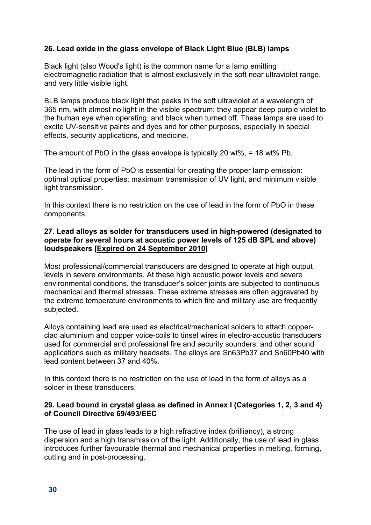# **26. Lead oxide in the glass envelope of Black Light Blue (BLB) lamps**

Black light (also Wood's light) is the common name for a lamp emitting electromagnetic radiation that is almost exclusively in the soft near ultraviolet range, and very little visible light.

BLB lamps produce black light that peaks in the soft ultraviolet at a wavelength of 365 nm, with almost no light in the visible spectrum; they appear deep purple violet to the human eye when operating, and black when turned off. These lamps are used to excite UV-sensitive paints and dyes and for other purposes, especially in special effects, security applications, and medicine.

The amount of PbO in the glass envelope is typically 20 wt%, = 18 wt% Pb.

The lead in the form of PbO is essential for creating the proper lamp emission: optimal optical properties: maximum transmission of UV light, and minimum visible light transmission.

In this context there is no restriction on the use of lead in the form of PbO in these components.

#### **27. Lead alloys as solder for transducers used in high-powered (designated to operate for several hours at acoustic power levels of 125 dB SPL and above) loudspeakers [Expired on 24 September 2010]**

Most professional/commercial transducers are designed to operate at high output levels in severe environments. At these high acoustic power levels and severe environmental conditions, the transducer's solder joints are subjected to continuous mechanical and thermal stresses. These extreme stresses are often aggravated by the extreme temperature environments to which fire and military use are frequently subjected.

Alloys containing lead are used as electrical/mechanical solders to attach copperclad aluminium and copper voice-coils to tinsel wires in electro-acoustic transducers used for commercial and professional fire and security sounders, and other sound applications such as military headsets. The alloys are Sn63Pb37 and Sn60Pb40 with lead content between 37 and 40%.

In this context there is no restriction on the use of lead in the form of alloys as a solder in these transducers.

#### **29. Lead bound in crystal glass as defined in Annex I (Categories 1, 2, 3 and 4) of Council Directive 69/493/EEC**

The use of lead in glass leads to a high refractive index (brilliancy), a strong dispersion and a high transmission of the light. Additionally, the use of lead in glass introduces further favourable thermal and mechanical properties in melting, forming, cutting and in post-processing.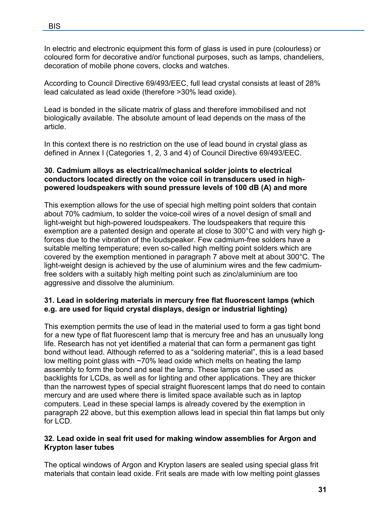In electric and electronic equipment this form of glass is used in pure (colourless) or coloured form for decorative and/or functional purposes, such as lamps, chandeliers, decoration of mobile phone covers, clocks and watches.

According to Council Directive 69/493/EEC, full lead crystal consists at least of 28% lead calculated as lead oxide (therefore >30% lead oxide).

Lead is bonded in the silicate matrix of glass and therefore immobilised and not biologically available. The absolute amount of lead depends on the mass of the article.

In this context there is no restriction on the use of lead bound in crystal glass as defined in Annex I (Categories 1, 2, 3 and 4) of Council Directive 69/493/EEC.

#### **30. Cadmium alloys as electrical/mechanical solder joints to electrical conductors located directly on the voice coil in transducers used in highpowered loudspeakers with sound pressure levels of 100 dB (A) and more**

This exemption allows for the use of special high melting point solders that contain about 70% cadmium, to solder the voice-coil wires of a novel design of small and light-weight but high-powered loudspeakers. The loudspeakers that require this exemption are a patented design and operate at close to 300°C and with very high gforces due to the vibration of the loudspeaker. Few cadmium-free solders have a suitable melting temperature; even so-called high melting point solders which are covered by the exemption mentioned in paragraph 7 above melt at about 300°C. The light-weight design is achieved by the use of aluminium wires and the few cadmiumfree solders with a suitably high melting point such as zinc/aluminium are too aggressive and dissolve the aluminium.

#### **31. Lead in soldering materials in mercury free flat fluorescent lamps (which e.g. are used for liquid crystal displays, design or industrial lighting)**

This exemption permits the use of lead in the material used to form a gas tight bond for a new type of flat fluorescent lamp that is mercury free and has an unusually long life. Research has not yet identified a material that can form a permanent gas tight bond without lead. Although referred to as a "soldering material", this is a lead based low melting point glass with ~70% lead oxide which melts on heating the lamp assembly to form the bond and seal the lamp. These lamps can be used as backlights for LCDs, as well as for lighting and other applications. They are thicker than the narrowest types of special straight fluorescent lamps that do need to contain mercury and are used where there is limited space available such as in laptop computers. Lead in these special lamps is already covered by the exemption in paragraph 22 above, but this exemption allows lead in special thin flat lamps but only for LCD.

#### **32. Lead oxide in seal frit used for making window assemblies for Argon and Krypton laser tubes**

The optical windows of Argon and Krypton lasers are sealed using special glass frit materials that contain lead oxide. Frit seals are made with low melting point glasses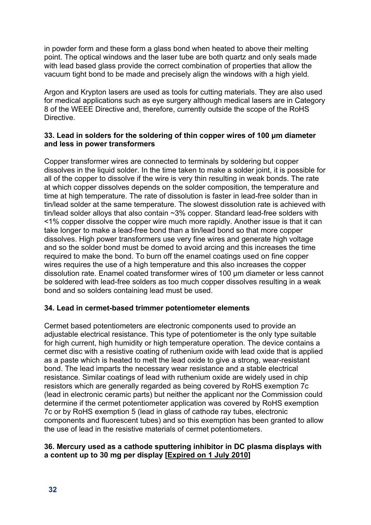in powder form and these form a glass bond when heated to above their melting point. The optical windows and the laser tube are both quartz and only seals made with lead based glass provide the correct combination of properties that allow the vacuum tight bond to be made and precisely align the windows with a high yield.

Argon and Krypton lasers are used as tools for cutting materials. They are also used for medical applications such as eye surgery although medical lasers are in Category 8 of the WEEE Directive and, therefore, currently outside the scope of the RoHS Directive.

## **33. Lead in solders for the soldering of thin copper wires of 100 μm diameter and less in power transformers**

Copper transformer wires are connected to terminals by soldering but copper dissolves in the liquid solder. In the time taken to make a solder joint, it is possible for all of the copper to dissolve if the wire is very thin resulting in weak bonds. The rate at which copper dissolves depends on the solder composition, the temperature and time at high temperature. The rate of dissolution is faster in lead-free solder than in tin/lead solder at the same temperature. The slowest dissolution rate is achieved with tin/lead solder alloys that also contain ~3% copper. Standard lead-free solders with <1% copper dissolve the copper wire much more rapidly. Another issue is that it can take longer to make a lead-free bond than a tin/lead bond so that more copper dissolves. High power transformers use very fine wires and generate high voltage and so the solder bond must be domed to avoid arcing and this increases the time required to make the bond. To burn off the enamel coatings used on fine copper wires requires the use of a high temperature and this also increases the copper dissolution rate. Enamel coated transformer wires of 100 μm diameter or less cannot be soldered with lead-free solders as too much copper dissolves resulting in a weak bond and so solders containing lead must be used.

# **34. Lead in cermet-based trimmer potentiometer elements**

Cermet based potentiometers are electronic components used to provide an adjustable electrical resistance. This type of potentiometer is the only type suitable for high current, high humidity or high temperature operation. The device contains a cermet disc with a resistive coating of ruthenium oxide with lead oxide that is applied as a paste which is heated to melt the lead oxide to give a strong, wear-resistant bond. The lead imparts the necessary wear resistance and a stable electrical resistance. Similar coatings of lead with ruthenium oxide are widely used in chip resistors which are generally regarded as being covered by RoHS exemption 7c (lead in electronic ceramic parts) but neither the applicant nor the Commission could determine if the cermet potentiometer application was covered by RoHS exemption 7c or by RoHS exemption 5 (lead in glass of cathode ray tubes, electronic components and fluorescent tubes) and so this exemption has been granted to allow the use of lead in the resistive materials of cermet potentiometers.

#### **36. Mercury used as a cathode sputtering inhibitor in DC plasma displays with a content up to 30 mg per display [Expired on 1 July 2010]**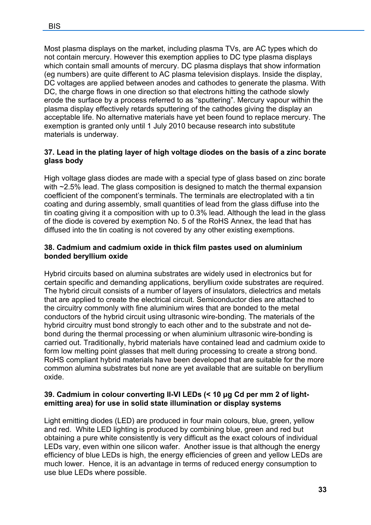Most plasma displays on the market, including plasma TVs, are AC types which do not contain mercury. However this exemption applies to DC type plasma displays which contain small amounts of mercury. DC plasma displays that show information (eg numbers) are quite different to AC plasma television displays. Inside the display, DC voltages are applied between anodes and cathodes to generate the plasma. With DC, the charge flows in one direction so that electrons hitting the cathode slowly erode the surface by a process referred to as "sputtering". Mercury vapour within the plasma display effectively retards sputtering of the cathodes giving the display an acceptable life. No alternative materials have yet been found to replace mercury. The exemption is granted only until 1 July 2010 because research into substitute materials is underway.

## **37. Lead in the plating layer of high voltage diodes on the basis of a zinc borate glass body**

High voltage glass diodes are made with a special type of glass based on zinc borate with ~2.5% lead. The glass composition is designed to match the thermal expansion coefficient of the component's terminals. The terminals are electroplated with a tin coating and during assembly, small quantities of lead from the glass diffuse into the tin coating giving it a composition with up to 0.3% lead. Although the lead in the glass of the diode is covered by exemption No. 5 of the RoHS Annex, the lead that has diffused into the tin coating is not covered by any other existing exemptions.

#### **38. Cadmium and cadmium oxide in thick film pastes used on aluminium bonded beryllium oxide**

Hybrid circuits based on alumina substrates are widely used in electronics but for certain specific and demanding applications, beryllium oxide substrates are required. The hybrid circuit consists of a number of layers of insulators, dielectrics and metals that are applied to create the electrical circuit. Semiconductor dies are attached to the circuitry commonly with fine aluminium wires that are bonded to the metal conductors of the hybrid circuit using ultrasonic wire-bonding. The materials of the hybrid circuitry must bond strongly to each other and to the substrate and not debond during the thermal processing or when aluminium ultrasonic wire-bonding is carried out. Traditionally, hybrid materials have contained lead and cadmium oxide to form low melting point glasses that melt during processing to create a strong bond. RoHS compliant hybrid materials have been developed that are suitable for the more common alumina substrates but none are yet available that are suitable on beryllium oxide.

# **39. Cadmium in colour converting II-VI LEDs (< 10 μg Cd per mm 2 of lightemitting area) for use in solid state illumination or display systems**

Light emitting diodes (LED) are produced in four main colours, blue, green, yellow and red. White LED lighting is produced by combining blue, green and red but obtaining a pure white consistently is very difficult as the exact colours of individual LEDs vary, even within one silicon wafer. Another issue is that although the energy efficiency of blue LEDs is high, the energy efficiencies of green and yellow LEDs are much lower. Hence, it is an advantage in terms of reduced energy consumption to use blue LEDs where possible.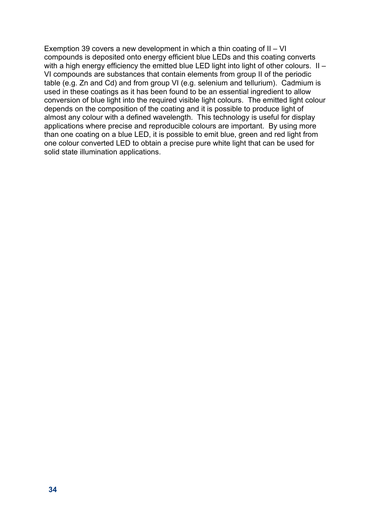Exemption 39 covers a new development in which a thin coating of II – VI compounds is deposited onto energy efficient blue LEDs and this coating converts with a high energy efficiency the emitted blue LED light into light of other colours. II – VI compounds are substances that contain elements from group II of the periodic table (e.g. Zn and Cd) and from group VI (e.g. selenium and tellurium). Cadmium is used in these coatings as it has been found to be an essential ingredient to allow conversion of blue light into the required visible light colours. The emitted light colour depends on the composition of the coating and it is possible to produce light of almost any colour with a defined wavelength. This technology is useful for display applications where precise and reproducible colours are important. By using more than one coating on a blue LED, it is possible to emit blue, green and red light from one colour converted LED to obtain a precise pure white light that can be used for solid state illumination applications.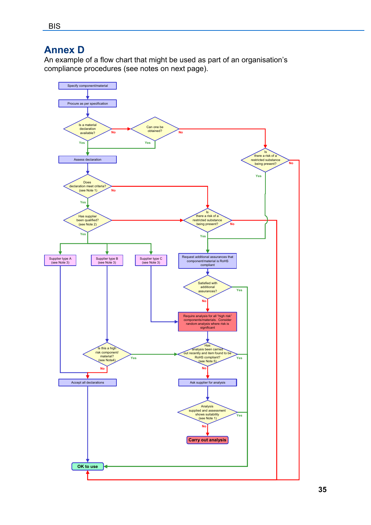# <span id="page-34-0"></span>**Annex D**

An example of a flow chart that might be used as part of an organisation's compliance procedures (see notes on next page).

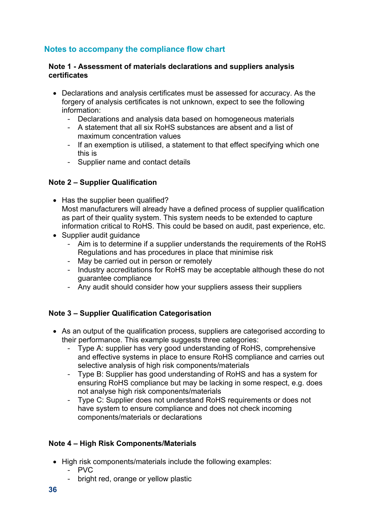# <span id="page-35-0"></span>**Notes to accompany the compliance flow chart**

#### **Note 1 - Assessment of materials declarations and suppliers analysis certificates**

- Declarations and analysis certificates must be assessed for accuracy. As the forgery of analysis certificates is not unknown, expect to see the following information:
	- Declarations and analysis data based on homogeneous materials
	- A statement that all six RoHS substances are absent and a list of maximum concentration values
	- If an exemption is utilised, a statement to that effect specifying which one this is
	- Supplier name and contact details

# **Note 2 – Supplier Qualification**

- Has the supplier been qualified? Most manufacturers will already have a defined process of supplier qualification as part of their quality system. This system needs to be extended to capture information critical to RoHS. This could be based on audit, past experience, etc.
- Supplier audit quidance
	- Aim is to determine if a supplier understands the requirements of the RoHS Regulations and has procedures in place that minimise risk
	- May be carried out in person or remotely
	- Industry accreditations for RoHS may be acceptable although these do not guarantee compliance
	- Any audit should consider how your suppliers assess their suppliers

# **Note 3 – Supplier Qualification Categorisation**

- As an output of the qualification process, suppliers are categorised according to their performance. This example suggests three categories:
	- Type A: supplier has very good understanding of RoHS, comprehensive and effective systems in place to ensure RoHS compliance and carries out selective analysis of high risk components/materials
	- Type B: Supplier has good understanding of RoHS and has a system for ensuring RoHS compliance but may be lacking in some respect, e.g. does not analyse high risk components/materials
	- Type C: Supplier does not understand RoHS requirements or does not have system to ensure compliance and does not check incoming components/materials or declarations

# **Note 4 – High Risk Components/Materials**

- High risk components/materials include the following examples:
	- PVC
	- bright red, orange or yellow plastic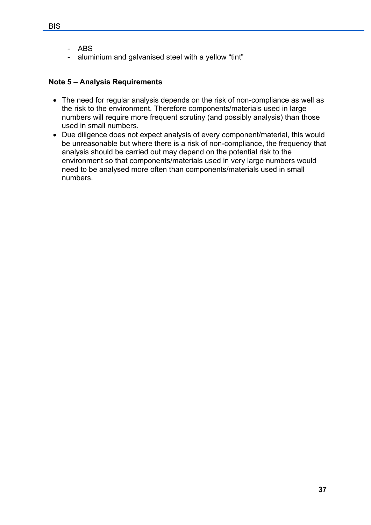- ABS
- aluminium and galvanised steel with a yellow "tint"

# **Note 5 – Analysis Requirements**

- The need for regular analysis depends on the risk of non-compliance as well as the risk to the environment. Therefore components/materials used in large numbers will require more frequent scrutiny (and possibly analysis) than those used in small numbers.
- Due diligence does not expect analysis of every component/material, this would be unreasonable but where there is a risk of non-compliance, the frequency that analysis should be carried out may depend on the potential risk to the environment so that components/materials used in very large numbers would need to be analysed more often than components/materials used in small numbers.